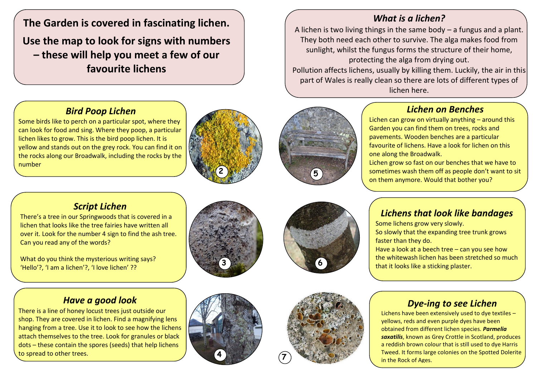**The Garden is covered in fascinating lichen. Use the map to look for signs with numbers – these will help you meet a few of our favourite lichens** 

## *Bird Poop Lichen*

Some birds like to perch on a particular spot, where they can look for food and sing. Where they poop, a particular lichen likes to grow. This is the bird poop lichen. It is yellow and stands out on the grey rock. You can find it on the rocks along our Broadwalk, including the rocks by the number





## *Lichen on Benches*

Lichen can grow on virtually anything – around this Garden you can find them on trees, rocks and pavements. Wooden benches are a particular favourite of lichens. Have a look for lichen on this one along the Broadwalk.

Lichen grow so fast on our benches that we have to sometimes wash them off as people don't want to sit on them anymore. Would that bother you?

# *Script Lichen*

There's a tree in our Springwoods that is covered in a lichen that looks like the tree fairies have written all over it. Look for the number 4 sign to find the ash tree. Can you read any of the words?

What do you think the mysterious writing says? 'Hello'?, 'I am a lichen'?, 'I love lichen' ??





# *Lichens that look like bandages*

Some lichens grow very slowly. So slowly that the expanding tree trunk grows faster than they do.

Have a look at a beech tree – can you see how the whitewash lichen has been stretched so much that it looks like a sticking plaster.

#### *Have a good look*

There is a line of honey locust trees just outside our shop. They are covered in lichen. Find a magnifying lens hanging from a tree. Use it to look to see how the lichens attach themselves to the tree. Look for granules or black dots – these contain the spores (seeds) that help lichens to spread to other trees.





### *Dye-ing to see Lichen*

Lichens have been extensively used to dye textiles – yellows, reds and even purple dyes have been obtained from different lichen species. *Parmelia saxatilis*, known as Grey Crottle in Scotland, produces a reddish brown colour that is still used to dye Harris Tweed. It forms large colonies on the Spotted Dolerite in the Rock of Ages.

## *What is a lichen?*

A lichen is two living things in the same body – a fungus and a plant. They both need each other to survive. The alga makes food from sunlight, whilst the fungus forms the structure of their home, protecting the alga from drying out. Pollution affects lichens, usually by killing them. Luckily, the air in this

part of Wales is really clean so there are lots of different types of lichen here.